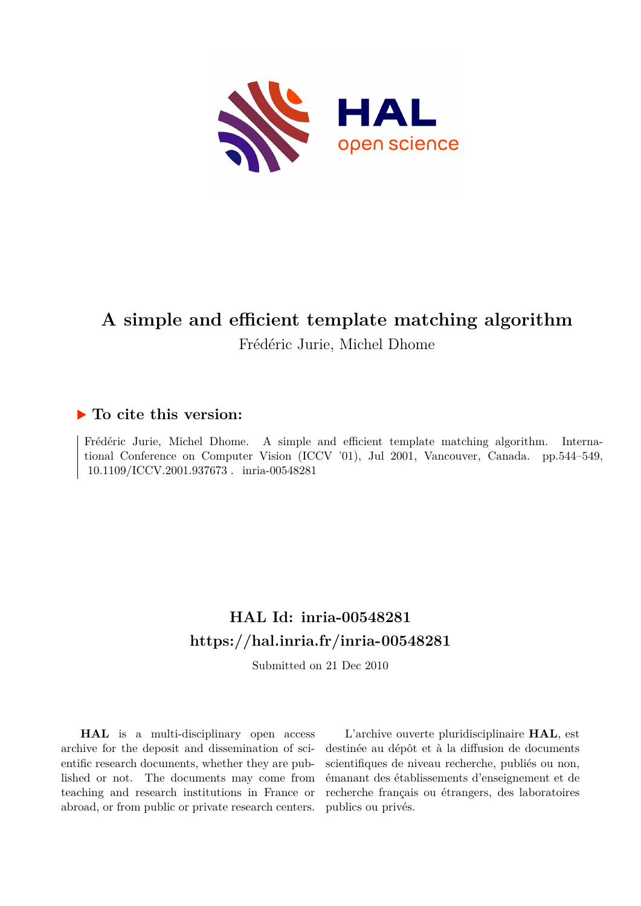

# **A simple and efficient template matching algorithm**

Frédéric Jurie, Michel Dhome

### **To cite this version:**

Frédéric Jurie, Michel Dhome. A simple and efficient template matching algorithm. International Conference on Computer Vision (ICCV '01), Jul 2001, Vancouver, Canada. pp.544–549, 10.1109/ICCV.2001.937673. inria-00548281

## **HAL Id: inria-00548281 <https://hal.inria.fr/inria-00548281>**

Submitted on 21 Dec 2010

**HAL** is a multi-disciplinary open access archive for the deposit and dissemination of scientific research documents, whether they are published or not. The documents may come from teaching and research institutions in France or abroad, or from public or private research centers.

L'archive ouverte pluridisciplinaire **HAL**, est destinée au dépôt et à la diffusion de documents scientifiques de niveau recherche, publiés ou non, émanant des établissements d'enseignement et de recherche français ou étrangers, des laboratoires publics ou privés.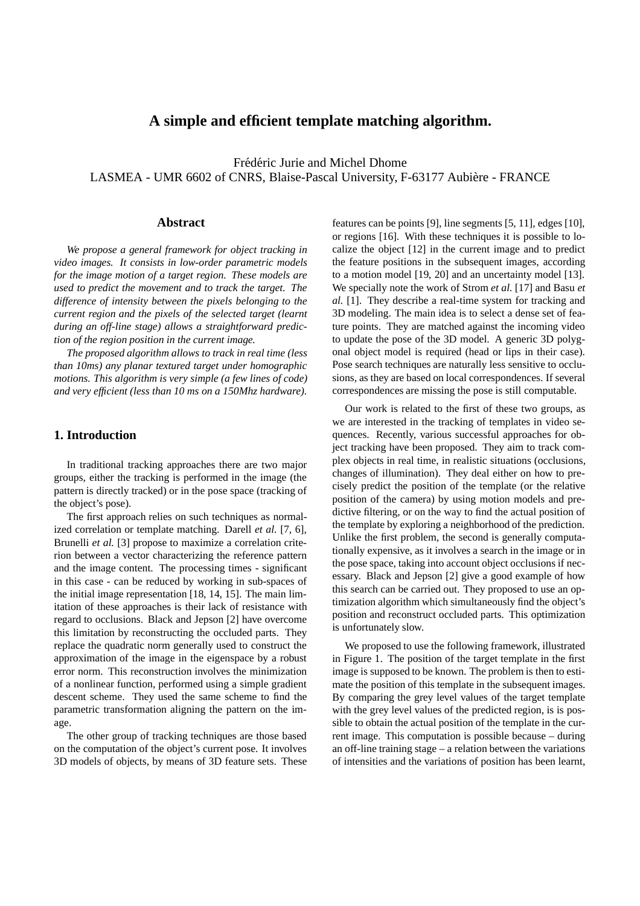#### **A simple and efficient template matching algorithm.**

Frédéric Jurie and Michel Dhome LASMEA - UMR 6602 of CNRS, Blaise-Pascal University, F-63177 Aubière - FRANCE

#### **Abstract**

*We propose a general framework for object tracking in video images. It consists in low-order parametric models for the image motion of a target region. These models are used to predict the movement and to track the target. The difference of intensity between the pixels belonging to the current region and the pixels of the selected target (learnt during an off-line stage) allows a straightforward prediction of the region position in the current image.*

*The proposed algorithm allows to track in real time (less than 10ms) any planar textured target under homographic motions. This algorithm is very simple (a few lines of code) and very efficient (less than 10 ms on a 150Mhz hardware).*

#### **1. Introduction**

In traditional tracking approaches there are two major groups, either the tracking is performed in the image (the pattern is directly tracked) or in the pose space (tracking of the object's pose).

The first approach relies on such techniques as normalized correlation or template matching. Darell *et al.* [7, 6], Brunelli *et al.* [3] propose to maximize a correlation criterion between a vector characterizing the reference pattern and the image content. The processing times - significant in this case - can be reduced by working in sub-spaces of the initial image representation [18, 14, 15]. The main limitation of these approaches is their lack of resistance with regard to occlusions. Black and Jepson [2] have overcome this limitation by reconstructing the occluded parts. They replace the quadratic norm generally used to construct the approximation of the image in the eigenspace by a robust error norm. This reconstruction involves the minimization of a nonlinear function, performed using a simple gradient descent scheme. They used the same scheme to find the parametric transformation aligning the pattern on the image.

The other group of tracking techniques are those based on the computation of the object's current pose. It involves 3D models of objects, by means of 3D feature sets. These features can be points [9], line segments [5, 11], edges [10], or regions [16]. With these techniques it is possible to localize the object [12] in the current image and to predict the feature positions in the subsequent images, according to a motion model [19, 20] and an uncertainty model [13]. We specially note the work of Strom *et al.* [17] and Basu *et al.* [1]. They describe a real-time system for tracking and 3D modeling. The main idea is to select a dense set of feature points. They are matched against the incoming video to update the pose of the 3D model. A generic 3D polygonal object model is required (head or lips in their case). Pose search techniques are naturally less sensitive to occlusions, as they are based on local correspondences. If several correspondences are missing the pose is still computable.

Our work is related to the first of these two groups, as we are interested in the tracking of templates in video sequences. Recently, various successful approaches for object tracking have been proposed. They aim to track complex objects in real time, in realistic situations (occlusions, changes of illumination). They deal either on how to precisely predict the position of the template (or the relative position of the camera) by using motion models and predictive filtering, or on the way to find the actual position of the template by exploring a neighborhood of the prediction. Unlike the first problem, the second is generally computationally expensive, as it involves a search in the image or in the pose space, taking into account object occlusions if necessary. Black and Jepson [2] give a good example of how this search can be carried out. They proposed to use an optimization algorithm which simultaneously find the object's position and reconstruct occluded parts. This optimization is unfortunately slow.

We proposed to use the following framework, illustrated in Figure 1. The position of the target template in the first image is supposed to be known. The problem is then to estimate the position of this template in the subsequent images. By comparing the grey level values of the target template with the grey level values of the predicted region, is is possible to obtain the actual position of the template in the current image. This computation is possible because – during an off-line training stage – a relation between the variations of intensities and the variations of position has been learnt,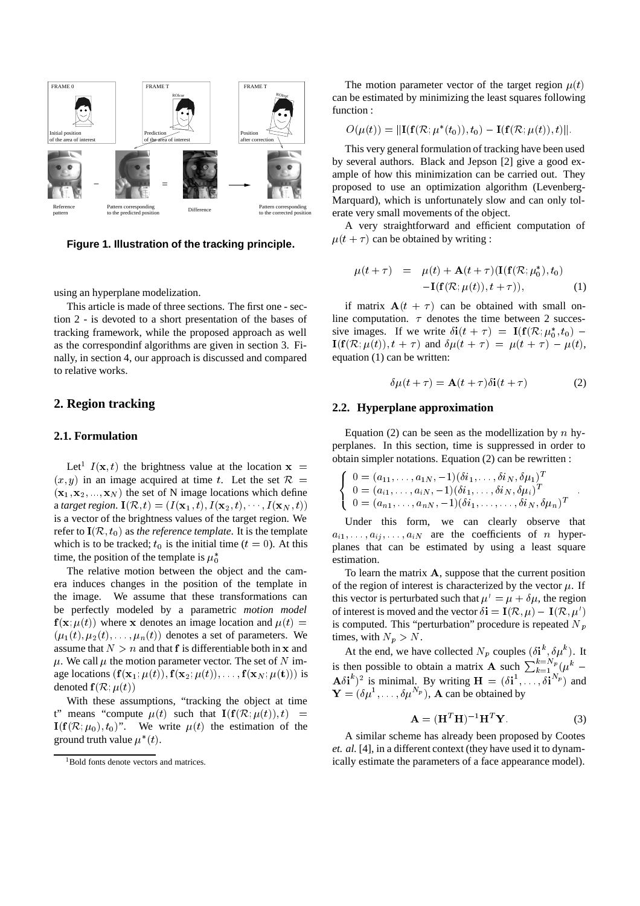

**Figure 1. Illustration of the tracking principle.**

using an hyperplane modelization.

This article is made of three sections. The first one - section 2 - is devoted to a short presentation of the bases of tracking framework, while the proposed approach as well as the correspondinf algorithms are given in section 3. Finally, in section 4, our approach is discussed and compared to relative works.

#### **2. Region tracking**

#### **2.1. Formulation**

Let<sup>1</sup>  $I(\mathbf{x}, t)$  the brightness value at the location  $\mathbf{x} =$  $(x, y)$  in an image acquired at time t. Let the set  $\mathcal{R}$  =  $(\mathbf{x}_1, \mathbf{x}_2, ..., \mathbf{x}_N)$  the set of N image locations which define a *target region*.  $I(\mathcal{R}, t) = (I(\mathbf{x}_1, t), I(\mathbf{x}_2, t), \cdots, I(\mathbf{x}_N, t))$ is a vector of the brightness values of the target region. We refer to  $I(R, t_0)$  as *the reference template*. It is the template which is to be tracked;  $t_0$  is the initial time ( $t = 0$ ). At this time, the position of the template is  $\mu_0^*$ 

The relative motion between the object and the camera induces changes in the position of the template in the image. We assume that these transformations can be perfectly modeled by a parametric *motion model*  $f(\mathbf{x}; \mu(t))$  where x denotes an image location and  $\mu(t)$  =  $(\mu_1(t), \mu_2(t), \ldots, \mu_n(t))$  denotes a set of parameters. We assume that  $N>n$  and that f is differentiable both in x and  $\mu$ . We call  $\mu$  the motion parameter vector. The set of N image locations  $(\mathbf{f}(\mathbf{x}_1;\mu(t)), \mathbf{f}(\mathbf{x}_2;\mu(t)),\ldots, \mathbf{f}(\mathbf{x}_N;\mu(t)))$  is denoted  $f(R; \mu(t))$ 

With these assumptions, "tracking the object at time t" means "compute  $\mu(t)$  such that  $\mathbf{I}(\mathbf{f}(\mathcal{R}; \mu(t)), t) =$  $I(f(\mathcal{R}; \mu_0), t_0)$ ". We write  $\mu(t)$  the estimation of the ground truth value  $\mu^*(t)$ .

The motion parameter vector of the target region  $\mu(t)$ can be estimated by minimizing the least squares following function :

$$
O(\mu(t)) = \|\mathbf{I}(\mathbf{f}(\mathcal{R}; \mu^*(t_0)), t_0) - \mathbf{I}(\mathbf{f}(\mathcal{R}; \mu(t)), t)\|.
$$

This very general formulation of tracking have been used by several authors. Black and Jepson [2] give a good example of how this minimization can be carried out. They proposed to use an optimization algorithm (Levenberg-Marquard), which is unfortunately slow and can only tolerate very small movements of the object.

A very straightforward and efficient computation of  $\mu(t + \tau)$  can be obtained by writing :

$$
\mu(t+\tau) = \mu(t) + \mathbf{A}(t+\tau)(\mathbf{I}(\mathbf{f}(\mathcal{R}; \mu_0^*), t_0) \n-\mathbf{I}(\mathbf{f}(\mathcal{R}; \mu(t)), t+\tau)), \tag{1}
$$

if matrix  $A(t + \tau)$  can be obtained with small online computation.  $\tau$  denotes the time between 2 successive images. If we write  $\delta i(t + \tau) = I(f(\mathcal{R}; \mu_0^*, t_0) \mathbf{I}(\mathbf{f}(\mathcal{R}; \mu(t)), t + \tau)$  and  $\delta \mu(t + \tau) = \mu(t + \tau) - \mu(t),$ equation (1) can be written:

$$
\delta\mu(t+\tau) = \mathbf{A}(t+\tau)\delta\mathbf{i}(t+\tau) \tag{2}
$$

#### **2.2. Hyperplane approximation**

Equation (2) can be seen as the modellization by  $n$  hyperplanes. In this section, time is suppressed in order to obtain simpler notations. Equation (2) can be rewritten :

$$
\begin{cases}\n0 = (a_{11}, \ldots, a_{1N}, -1)(\delta i_1, \ldots, \delta i_N, \delta \mu_1)^T \\
0 = (a_{i1}, \ldots, a_{iN}, -1)(\delta i_1, \ldots, \delta i_N, \delta \mu_i)^T \\
0 = (a_{n1}, \ldots, a_{nN}, -1)(\delta i_1, \ldots, \ldots, \delta i_N, \delta \mu_n)^T\n\end{cases}.
$$

Under this form, we can clearly observe that  $a_{i1},\ldots,a_{ij},\ldots,a_{iN}$  are the coefficients of n hyperplanes that can be estimated by using a least square estimation.

To learn the matrix  $A$ , suppose that the current position of the region of interest is characterized by the vector  $u$ . If this vector is perturbated such that  $\mu' = \mu + \delta \mu$ , the region of interest is moved and the vector  $\delta \mathbf{i} = \mathbf{I}(\mathcal{R}, \mu) - \mathbf{I}(\mathcal{R}, \mu')$ is computed. This "perturbation" procedure is repeated  $N_p$ times, with  $N_p > N$ .

At the end, we have collected  $N_p$  couples  $(\delta \mathbf{i}^k, \delta \mu^k)$ . It is then possible to obtain a matrix **A** such  $\sum_{k=1}^{k=1} (u^k \mathbf{A} \delta \mathbf{i}^k$ <sup>2</sup> is minimal. By writing  $\mathbf{H} = (\delta \mathbf{i}^1, \dots, \delta \mathbf{i}^N)^p$  and  $\mathbf{Y} = (\delta \mu^1, \dots, \delta \mu^N)$ , A can be obtained by

$$
\mathbf{A} = (\mathbf{H}^T \mathbf{H})^{-1} \mathbf{H}^T \mathbf{Y}.
$$
 (3)

A similar scheme has already been proposed by Cootes *et. al.* [4], in a different context (they have used it to dynamically estimate the parameters of a face appearance model).

<sup>1</sup>Bold fonts denote vectors and matrices.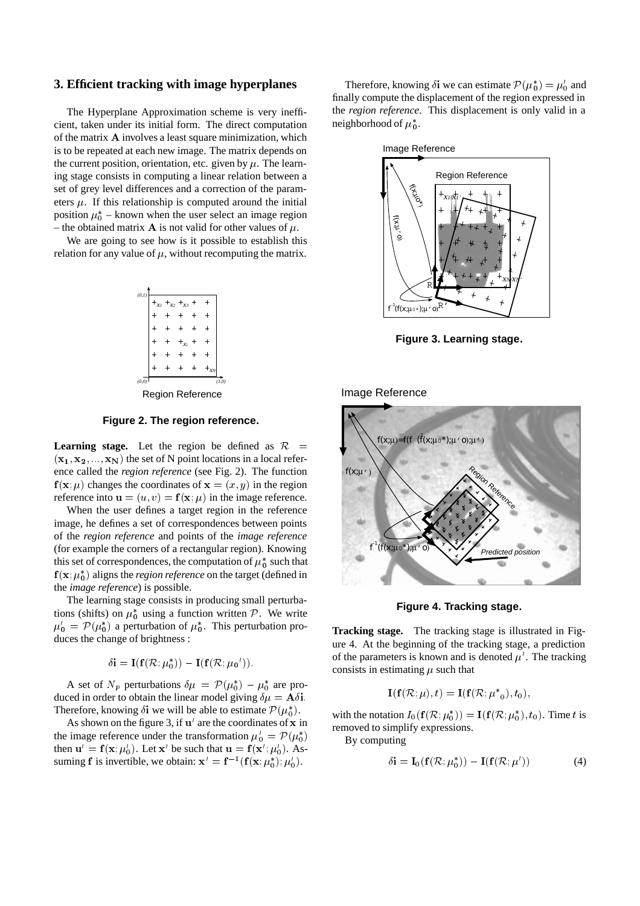#### **3. Efficient tracking with image hyperplanes**

The Hyperplane Approximation scheme is very inefficient, taken under its initial form. The direct computation of the matrix <sup>A</sup> involves a least square minimization, which is to be repeated at each new image. The matrix depends on the current position, orientation, etc. given by  $\mu$ . The learning stage consists in computing a linear relation between a set of grey level differences and a correction of the parameters  $\mu$ . If this relationship is computed around the initial position  $\mu_0^*$  – known when the user select an image region – the obtained matrix **A** is not valid for other values of  $\mu$ .

We are going to see how is it possible to establish this relation for any value of  $\mu$ , without recomputing the matrix.



**Figure 2. The region reference.**

**Learning stage.** Let the region be defined as  $\mathcal{R}$  $(x_1, x_2, ..., x_N)$  the set of N point locations in a local reference called the *region reference* (see Fig. 2). The function  $f(x; \mu)$  changes the coordinates of  $x = (x, y)$  in the region reference into  $\mathbf{u} = (u, v) = \mathbf{f}(\mathbf{x}; \mu)$  in the image reference.

When the user defines a target region in the reference image, he defines a set of correspondences between points of the *region reference* and points of the *image reference* (for example the corners of a rectangular region). Knowing this set of correspondences, the computation of  $\mu_0^*$  such that  $f(x; \mu_0^*)$  aligns the *region reference* on the target (defined in the *image reference*) is possible.

The learning stage consists in producing small perturbations (shifts) on  $\mu_0^*$  using a function written P. We write  $\mu_0' = \mathcal{P}(\mu_0^*)$  a perturbation of  $\mu_0^*$ . This perturbation produces the change of brightness :

$$
\delta \mathbf{i} = \mathbf{I}(\mathbf{f}(\mathcal{R}; \mu_0^*)) - \mathbf{I}(\mathbf{f}(\mathcal{R}; \mu_0')).
$$

A set of  $N_p$  perturbations  $\delta \mu = \mathcal{P}(\mu_0^*) - \mu_0^*$  are produced in order to obtain the linear model giving  $\delta \mu = A \delta i$ . Therefore, knowing  $\delta$ i we will be able to estimate  $\mathcal{P}(\mu_0^*)$ .

As shown on the figure 3, if  $\mathbf{u}'$  are the coordinates of x in the image reference under the transformation  $\mu'_{0} = \mathcal{P}(\mu_{0}^{*})$ then  $\mathbf{u}' = \mathbf{f}(\mathbf{x}; \mu'_0)$ . Let  $\mathbf{x}'$  be such that  $\mathbf{u} = \mathbf{f}(\mathbf{x}'; \mu'_0)$ . Assuming **f** is invertible, we obtain:  $\mathbf{x}' = \mathbf{f}^{-1}(\mathbf{f}(\mathbf{x}; \mu_0^*); \mu_0').$ 

Therefore, knowing  $\delta$ i we can estimate  $\mathcal{P}(\mu_0^*) = \mu_0$  and finally compute the displacement of the region expressed in the *region reference*. This displacement is only valid in a neighborhood of  $\mu_0^*$ .



**Figure 3. Learning stage.**

Image Reference



**Figure 4. Tracking stage.**

**Tracking stage.** The tracking stage is illustrated in Figure 4. At the beginning of the tracking stage, a prediction of the parameters is known and is denoted  $\mu'$ . The tracking consists in estimating  $\mu$  such that

$$
\mathbf{I}(\mathbf{f}(\mathcal{R};\mu),t) = \mathbf{I}(\mathbf{f}(\mathcal{R};\mu^*)_0,t_0),
$$

with the notation  $I_0(f(\mathcal{R};\mu_0^*)) = I(f(\mathcal{R};\mu_0^*), t_0)$ . Time t is removed to simplify expressions.

By computing

$$
\delta \mathbf{i} = \mathbf{I}_0(\mathbf{f}(\mathcal{R}; \mu_0^*)) - \mathbf{I}(\mathbf{f}(\mathcal{R}; \mu')) \tag{4}
$$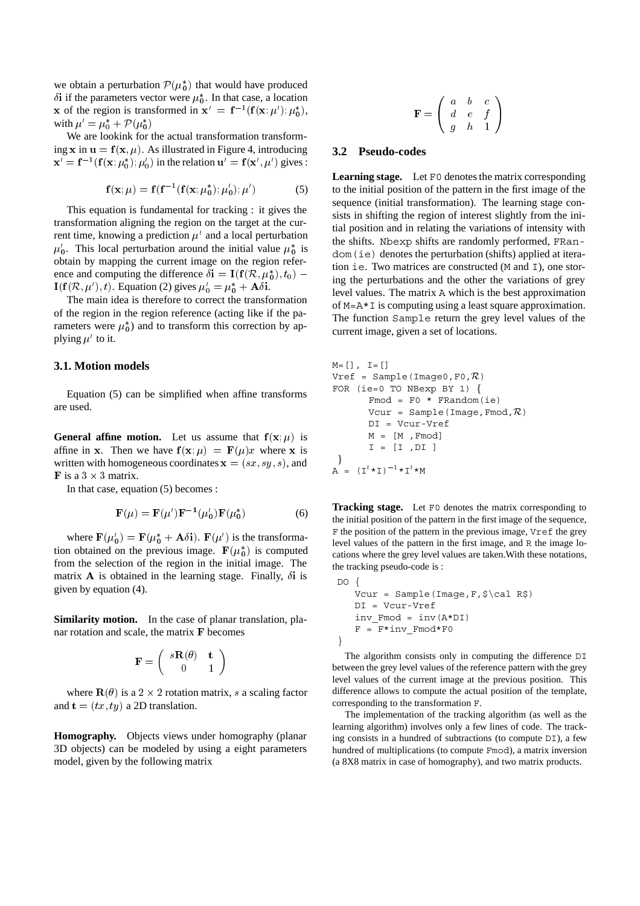we obtain a perturbation  $P(\mu_0^*)$  that would have produced  $\delta$ i if the parameters vector were  $\mu_0^*$ . In that case, a location x of the region is transformed in  $x' = f^{-1}(f(x; \mu'); \mu_0^*),$ with  $\mu' = \mu_0^* + \mathcal{P}(\mu_0^*)$ 

We are lookink for the actual transformation transforming x in  $\mathbf{u} = \mathbf{f}(\mathbf{x}, \mu)$ . As illustrated in Figure 4, introducing  $\mathbf{x}' = \mathbf{f}^{-1}(\mathbf{f}(\mathbf{x}; \mu_0^*); \mu_0')$  in the relation  $\mathbf{u}' = \mathbf{f}(\mathbf{x}', \mu')$  gives :

$$
\mathbf{f}(\mathbf{x}; \mu) = \mathbf{f}(\mathbf{f}^{-1}(\mathbf{f}(\mathbf{x}; \mu_0^*); \mu_0'); \mu')
$$
 (5)

This equation is fundamental for tracking : it gives the transformation aligning the region on the target at the current time, knowing a prediction  $\mu'$  and a local perturbation  $\mu_0'$ . This local perturbation around the initial value  $\mu_0^*$  is obtain by mapping the current image on the region reference and computing the difference  $\delta i = I(f(\mathcal{R}, \mu_0^*), t_0)$  –  $I(f(\mathcal{R}, \mu'), t)$ . Equation (2) gives  $\mu'_{0} = \mu_{0}^{*} + A\delta i$ .

The main idea is therefore to correct the transformation of the region in the region reference (acting like if the parameters were  $\mu_0^*$ ) and to transform this correction by applying  $\mu'$  to it.

#### **3.1. Motion models**

Equation (5) can be simplified when affine transforms are used.

**General affine motion.** Let us assume that  $f(x; \mu)$  is affine in x. Then we have  $f(x; \mu) = F(\mu)x$  where x is<br>written with homogeneous coordinates  $x = (ex, sw, e)$  and written with homogeneous coordinates  $\mathbf{x} = (sx, sy, s)$ , and **F** is a  $3 \times 3$  matrix.

In that case, equation (5) becomes :

$$
\mathbf{F}(\mu) = \mathbf{F}(\mu')\mathbf{F}^{-1}(\mu_0')\mathbf{F}(\mu_0^*)
$$
 (6)

where  $\mathbf{F}(\mu_0') = \mathbf{F}(\mu_0^* + \mathbf{A}\delta\mathbf{i})$ .  $\mathbf{F}(\mu')$  is the transformation obtained on the previous image.  $\mathbf{F}(\mu_0^*)$  is computed from the selection of the region in the initial image. The matrix A is obtained in the learning stage. Finally,  $\delta i$  is given by equation (4).

**Similarity motion.** In the case of planar translation, planar rotation and scale, the matrix F becomes

$$
\mathbf{F} = \left( \begin{array}{cc} s\mathbf{R}(\theta) & \mathbf{t} \\ 0 & 1 \end{array} \right)
$$

where  $\mathbf{R}(\theta)$  is a 2  $\times$  2 rotation matrix, s a scaling factor and  $\mathbf{t} = (tx, ty)$  a 2D translation.

**Homography.** Objects views under homography (planar 3D objects) can be modeled by using a eight parameters model, given by the following matrix

$$
\mathbf{F} = \left( \begin{array}{ccc} a & b & c \\ d & e & f \\ g & h & 1 \end{array} \right)
$$

#### **3.2 Pseudo-codes**

**Learning stage.** Let F0 denotes the matrix corresponding to the initial position of the pattern in the first image of the sequence (initial transformation). The learning stage consists in shifting the region of interest slightly from the initial position and in relating the variations of intensity with the shifts. Nbexp shifts are randomly performed, FRandom(ie) denotes the perturbation (shifts) applied at iteration ie. Two matrices are constructed (M and I), one storing the perturbations and the other the variations of grey level values. The matrix A which is the best approximation of M=A\*I is computing using a least square approximation. The function Sample return the grey level values of the current image, given a set of locations.

```
M=[], I=[]Vref = Sample(Image0, F0, \mathcal{R})
FOR (ie=0 TO NBexp BY 1) f
        Fmod = F0 * FRandom(ie)Vcur = Sample(Image, Fmod, \mathcal{R})
        DI = Vcur-Vref
        M = [M ,Fmod]
        I = [I, DI]\}A = (I<sup>t</sup> * I)<sup>-1</sup> * I<sup>t</sup> * M
```
**Tracking stage.** Let F0 denotes the matrix corresponding to the initial position of the pattern in the first image of the sequence, F the position of the pattern in the previous image, Vref the grey level values of the pattern in the first image, and R the image locations where the grey level values are taken.With these notations, the tracking pseudo-code is :

```
DO {
   Vcur = Sample(Image,F,$\cal R$)
   DI = Vcur-Vref
   inv_Fmod = inv(A*DI)
   F = F*inv_Fmod*F0}
```
The algorithm consists only in computing the difference DI between the grey level values of the reference pattern with the grey level values of the current image at the previous position. This difference allows to compute the actual position of the template, corresponding to the transformation F.

The implementation of the tracking algorithm (as well as the learning algorithm) involves only a few lines of code. The tracking consists in a hundred of subtractions (to compute DI), a few hundred of multiplications (to compute Fmod), a matrix inversion (a 8X8 matrix in case of homography), and two matrix products.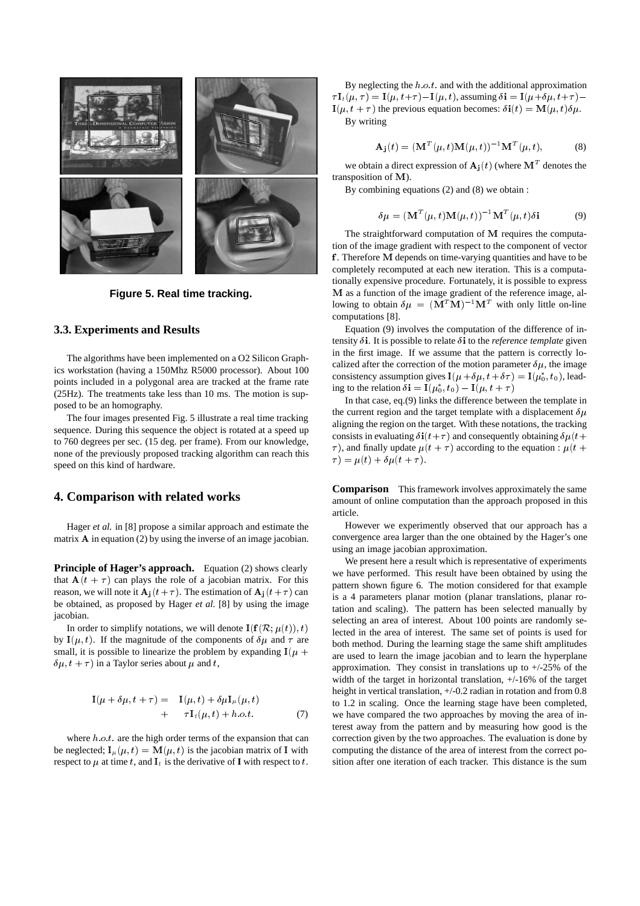

**Figure 5. Real time tracking.**

#### **3.3. Experiments and Results**

The algorithms have been implemented on a O2 Silicon Graphics workstation (having a 150Mhz R5000 processor). About 100 points included in a polygonal area are tracked at the frame rate (25Hz). The treatments take less than 10 ms. The motion is supposed to be an homography.

The four images presented Fig. 5 illustrate a real time tracking sequence. During this sequence the object is rotated at a speed up to 760 degrees per sec. (15 deg. per frame). From our knowledge, none of the previously proposed tracking algorithm can reach this speed on this kind of hardware.

#### **4. Comparison with related works**

Hager *et al.* in [8] propose a similar approach and estimate the matrix  $A$  in equation (2) by using the inverse of an image jacobian.

**Principle of Hager's approach.** Equation (2) shows clearly that  $A(t + \tau)$  can plays the role of a jacobian matrix. For this reason, we will note it  $\mathbf{A}_i(t+\tau)$ . The estimation of  $\mathbf{A}_i(t+\tau)$  can be obtained, as proposed by Hager *et al.* [8] by using the image iacobian.

In order to simplify notations, we will denote  $\mathbf{I}(\mathbf{f}(\mathcal{R}; \mu(t)), t)$ by  $I(\mu, t)$ . If the magnitude of the components of  $\delta \mu$  and  $\tau$  are small, it is possible to linearize the problem by expanding  $I(\mu +$  $\delta \mu$ ,  $t + \tau$ ) in a Taylor series about  $\mu$  and t,

$$
\mathbf{I}(\mu + \delta\mu, t + \tau) = \mathbf{I}(\mu, t) + \delta\mu \mathbf{I}_{\mu}(\mu, t) \n+ \tau \mathbf{I}_{t}(\mu, t) + h.o.t.
$$
\n(7)

where  $h.o.t.$  are the high order terms of the expansion that can be neglected;  $I_{\mu}(\mu, t) = M(\mu, t)$  is the jacobian matrix of I with respect to  $\mu$  at time t, and  $I_t$  is the derivative of **I** with respect to t.

By neglecting the  $h.o.t.$  and with the additional approximation  $\tau I_t(\mu, \tau) = I(\mu, t+\tau) - I(\mu, t)$ , assuming  $\delta i = I(\mu + \delta \mu, t+\tau) - I(\mu, t+\tau)$  $\mathbf{I}(\mu, t + \tau)$  the previous equation becomes:  $\delta \mathbf{i}(t) = \mathbf{M}(\mu, t) \delta \mu$ . By writing

$$
\mathbf{A}_{\mathbf{j}}(t) = (\mathbf{M}^{T}(\mu, t)\mathbf{M}(\mu, t))^{-1}\mathbf{M}^{T}(\mu, t),
$$
 (8)

we obtain a direct expression of  $A_i(t)$  (where  $M<sup>T</sup>$  denotes the transposition of <sup>M</sup>).

By combining equations (2) and (8) we obtain :

$$
\delta \mu = (\mathbf{M}^T(\mu, t) \mathbf{M}(\mu, t))^{-1} \mathbf{M}^T(\mu, t) \delta \mathbf{i}
$$
 (9)

The straightforward computation of <sup>M</sup> requires the computation of the image gradient with respect to the component of vector <sup>f</sup> . Therefore <sup>M</sup> depends on time-varying quantities and have to be completely recomputed at each new iteration. This is a computationally expensive procedure. Fortunately, it is possible to express <sup>M</sup> as a function of the image gradient of the reference image, allowing to obtain  $\delta \mu = (\mathbf{M}^T \mathbf{M})^{-1} \mathbf{M}^T$  with only little on-line computations [8].

Equation (9) involves the computation of the difference of intensity  $\delta$ **i**. It is possible to relate  $\delta$ **i** to the *reference template* given in the first image. If we assume that the pattern is correctly localized after the correction of the motion parameter  $\delta \mu$ , the image consistency assumption gives  $I(\mu + \delta \mu, t + \delta \tau) = I(\mu_0^*, t_0)$ , leading to the relation  $\delta \mathbf{i} = \mathbf{I}(\mu_0^*, t_0) - \mathbf{I}(\mu, t + \tau)$ 

In that case, eq.(9) links the difference between the template in the current region and the target template with a displacement  $\delta \mu$ aligning the region on the target. With these notations, the tracking consists in evaluating  $\delta i(t+\tau)$  and consequently obtaining  $\delta \mu(t+\tau)$  $\tau$ ), and finally update  $\mu(t + \tau)$  according to the equation :  $\mu(t + \tau)$  $\tau$ ) =  $\mu(t) + \delta\mu(t + \tau)$ .

**Comparison** This framework involves approximately the same amount of online computation than the approach proposed in this article.

However we experimently observed that our approach has a convergence area larger than the one obtained by the Hager's one using an image jacobian approximation.

We present here a result which is representative of experiments we have performed. This result have been obtained by using the pattern shown figure 6. The motion considered for that example is a 4 parameters planar motion (planar translations, planar rotation and scaling). The pattern has been selected manually by selecting an area of interest. About 100 points are randomly selected in the area of interest. The same set of points is used for both method. During the learning stage the same shift amplitudes are used to learn the image jacobian and to learn the hyperplane approximation. They consist in translations up to  $+/25\%$  of the width of the target in horizontal translation, +/-16% of the target height in vertical translation,  $+/0.2$  radian in rotation and from 0.8 to 1.2 in scaling. Once the learning stage have been completed, we have compared the two approaches by moving the area of interest away from the pattern and by measuring how good is the correction given by the two approaches. The evaluation is done by computing the distance of the area of interest from the correct position after one iteration of each tracker. This distance is the sum